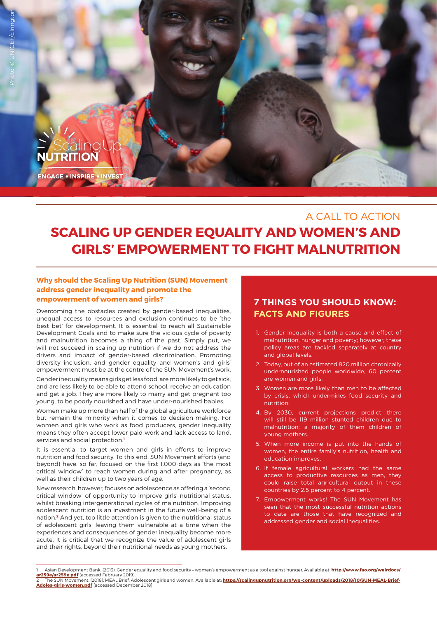

## A CALL TO ACTION

# **SCALING UP GENDER EQUALITY AND WOMEN'S AND GIRLS' EMPOWERMENT TO FIGHT MALNUTRITION**

### **Why should the Scaling Up Nutrition (SUN) Movement address gender inequality and promote the empowerment of women and girls?**

Overcoming the obstacles created by gender-based inequalities, unequal access to resources and exclusion continues to be 'the best bet' for development. It is essential to reach all Sustainable Development Goals and to make sure the vicious cycle of poverty and malnutrition becomes a thing of the past. Simply put, we will not succeed in scaling up nutrition if we do not address the drivers and impact of gender-based discrimination. Promoting diversity inclusion, and gender equality and women's and girls' empowerment must be at the centre of the SUN Movement's work.

Gender inequality means girls get less food, are more likely to get sick, and are less likely to be able to attend school, receive an education and get a job. They are more likely to marry and get pregnant too young, to be poorly nourished and have under-nourished babies.

Women make up more than half of the global agriculture workforce but remain the minority when it comes to decision-making. For women and girls who work as food producers, gender inequality means they often accept lower paid work and lack access to land, services and social protection.**<sup>1</sup>**

It is essential to target women and girls in efforts to improve nutrition and food security. To this end, SUN Movement efforts (and beyond) have, so far, focused on the first 1,000-days as 'the most critical window' to reach women during and after pregnancy, as well as their children up to two years of age.

New research, however, focuses on adolescence as offering a 'second critical window' of opportunity to improve girls' nutritional status, whilst breaking intergenerational cycles of malnutrition. Improving adolescent nutrition is an investment in the future well-being of a nation.**2** And yet, too little attention is given to the nutritional status of adolescent girls, leaving them vulnerable at a time when the experiences and consequences of gender inequality become more acute. It is critical that we recognize the value of adolescent girls and their rights, beyond their nutritional needs as young mothers.

### **7 THINGS YOU SHOULD KNOW: FACTS AND FIGURES**

- 1. [Gender inequality is both a cause and effect of](http://www.fao.org/policy-support/resources/resources-details/en/c/885777/) [malnutrition, hunger and poverty; however, these](http://www.fao.org/policy-support/resources/resources-details/en/c/885777/) [policy areas are tackled separately at country](http://www.fao.org/policy-support/resources/resources-details/en/c/885777/) [and global levels.](http://www.fao.org/policy-support/resources/resources-details/en/c/885777/)
- 2. [Today, out of an estimated 820 million chronically](http://www.fao.org/3/i9553en/i9553en.pdf) [undernourished people worldwide, 60 percent](http://www.fao.org/3/i9553en/i9553en.pdf) [are women and girls.](http://www.fao.org/3/i9553en/i9553en.pdf)
- 3. [Women are more likely than men to be affected](https://www.wfp.org/our-work/preventing-hunger/focus-women/women-hunger-facts) [by crisis, which undermines food security and](https://www.wfp.org/our-work/preventing-hunger/focus-women/women-hunger-facts) [nutrition.](https://www.wfp.org/our-work/preventing-hunger/focus-women/women-hunger-facts)
- 4. [By 2030, current projections predict there](https://resourcecentre.savethechildren.net/library/still-left-behind-tracking-childrens-progress-against-pledge-leave-no-one-behind) [will still be 119 million stunted children due to](https://resourcecentre.savethechildren.net/library/still-left-behind-tracking-childrens-progress-against-pledge-leave-no-one-behind) [malnutrition; a majority of them children of](https://resourcecentre.savethechildren.net/library/still-left-behind-tracking-childrens-progress-against-pledge-leave-no-one-behind) [young mothers.](https://resourcecentre.savethechildren.net/library/still-left-behind-tracking-childrens-progress-against-pledge-leave-no-one-behind)
- 5. [When more income is put into the hands of](http://www.unwomen.org/en/news/in-focus/commission-on-the-status-of-women-2012/facts-and-figures) [women, the entire family's nutrition, health and](http://www.unwomen.org/en/news/in-focus/commission-on-the-status-of-women-2012/facts-and-figures) [education improves.](http://www.unwomen.org/en/news/in-focus/commission-on-the-status-of-women-2012/facts-and-figures)
- 6. [If female agricultural workers had the same](http://www.fao.org/3/a-i2050e.pdf) [access to productive resources as men, they](http://www.fao.org/3/a-i2050e.pdf) [could raise total agricultural output in these](http://www.fao.org/3/a-i2050e.pdf) [countries by 2.5 percent to 4 percent.](http://www.fao.org/3/a-i2050e.pdf)
- 7. [Empowerment works! The SUN Movement has](https://www.csis.org/analysis/what-can-united-states-learn-scaling-nutrition-sun-movement) [seen that the most successful nutrition actions](https://www.csis.org/analysis/what-can-united-states-learn-scaling-nutrition-sun-movement) [to date are those that have recognized and](https://www.csis.org/analysis/what-can-united-states-learn-scaling-nutrition-sun-movement) [addressed gender and social inequalities.](https://www.csis.org/analysis/what-can-united-states-learn-scaling-nutrition-sun-movement)

**[Adoles-girls-women.pdf](https://scalingupnutrition.org/wp-content/uploads/2018/10/SUN-MEAL-Brief-Adoles-girls-women.pdf)** [accessed December 2018].

<sup>1</sup> Asian Development Bank, (2013). Gender equality and food security - women's empowerment as a tool against hunger. Available at: <mark>http://www.fao.org/wairdocs</mark>/<br><mark>[ar259e/ar259e.pdf](http://www.fao.org/wairdocs/ar259e/ar259e.pdf)</mark> [accessed February 2019]. The SUN Movement, (2018). MEAL Brief. Adolescent girls and women. Available at: **[https://scalingupnutrition.org/wp-content/uploads/2018/10/SUN-MEAL-Brief-](https://scalingupnutrition.org/wp-content/uploads/2018/10/SUN-MEAL-Brief-Adoles-girls-women.pdf)**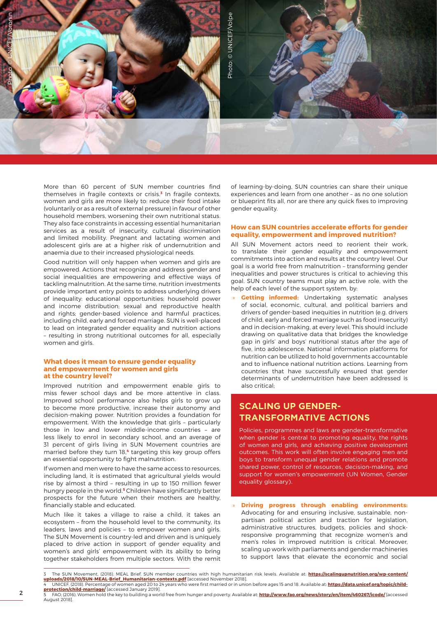

More than 60 percent of SUN member countries find themselves in fragile contexts or crisis.**<sup>3</sup>** In fragile contexts, women and girls are more likely to: reduce their food intake (voluntarily or as a result of external pressure) in favour of other household members, worsening their own nutritional status. They also face constraints in accessing essential humanitarian services as a result of insecurity, cultural discrimination and limited mobility. Pregnant and lactating women and adolescent girls are at a higher risk of undernutrition and anaemia due to their increased physiological needs.

Good nutrition will only happen when women and girls are empowered. Actions that recognize and address gender and social inequalities are empowering and effective ways of tackling malnutrition. At the same time, nutrition investments provide important entry points to address underlying drivers of inequality: educational opportunities; household power and income distribution; sexual and reproductive health and rights; gender-based violence and harmful practices, including child, early and forced marriage. SUN is well-placed to lead on integrated gender equality and nutrition actions – resulting in strong nutritional outcomes for all, especially women and girls.

#### **What does it mean to ensure gender equality and empowerment for women and girls at the country level?**

Improved nutrition and empowerment enable girls to miss fewer school days and be more attentive in class. Improved school performance also helps girls to grow up to become more productive, increase their autonomy and decision-making power. Nutrition provides a foundation for empowerment. With the knowledge that girls – particularly those in low and lower middle-income countries – are less likely to enrol in secondary school, and an average of 31 percent of girls living in SUN Movement countries are married before they turn 18,**4** targeting this key group offers an essential opportunity to fight malnutrition.

If women and men were to have the same access to resources, including land, it is estimated that agricultural yields would rise by almost a third – resulting in up to 150 million fewer hungry people in the world.**5** Children have significantly better prospects for the future when their mothers are healthy, financially stable and educated.

Much like it takes a village to raise a child, it takes an ecosystem – from the household level to the community, its leaders, laws and policies – to empower women and girls. The SUN Movement is country-led and driven and is uniquely placed to drive action in support of gender equality and women's and girls' empowerment with its ability to bring together stakeholders from multiple sectors. With the remit

of learning-by-doing, SUN countries can share their unique experiences and learn from one another – as no one solution or blueprint fits all, nor are there any quick fixes to improving gender equality.

#### **How can SUN countries accelerate efforts for gender equality, empowerment and improved nutrition?**

All SUN Movement actors need to reorient their work, to translate their gender equality and empowerment commitments into action and results at the country level. Our goal is a world free from malnutrition – transforming gender inequalities and power structures is critical to achieving this goal. SUN country teams must play an active role, with the help of each level of the support system, by:

**Getting informed:** Undertaking systematic analyses of social, economic, cultural, and political barriers and drivers of gender-based inequities in nutrition (e.g. drivers of child, early and forced marriage such as food insecurity) and in decision-making, at every level. This should include drawing on qualitative data that bridges the knowledge gap in girls' and boys' nutritional status after the age of five, into adolescence. National information platforms for nutrition can be utilized to hold governments accountable and to influence national nutrition actions. Learning from countries that have successfully ensured that gender determinants of undernutrition have been addressed is also critical;

### **SCALING UP GENDER-TRANSFORMATIVE ACTIONS**

Policies, programmes and laws are gender-transformative when gender is central to promoting equality, the rights of women and girls, and achieving positive development outcomes. This work will often involve engaging men and boys to transform unequal gender relations and promote shared power, control of resources, decision-making, and support for women's empowerment (UN Women, Gender equality glossary).

» **Driving progress through enabling environments:**  Advocating for and ensuring inclusive, sustainable, nonpartisan political action and traction for legislation, administrative structures, budgets, policies and shockresponsive programming that recognize women's and men's roles in improved nutrition is critical. Moreover, scaling up work with parliaments and gender machineries to support laws that elevate the economic and social

<sup>3</sup> The SUN Movement, (2018). MEAL Brief. SUN member countries with high humanitarian risk levels. Available at: <mark>[https://scalingupnutrition.org/wp-content/](https://scalingupnutrition.org/wp-content/uploads/2018/10/SUN-MEAL-Brief_Humanitarian-contexts.pdf)</mark><br><mark>[uploads/2018/10/SUN-MEAL-Brief\\_Humanitarian-contexts.pdf](https://scalingupnutrition.org/wp-content/uploads/2018/10/SUN-MEAL-Brief_Humanitarian-contexts.pdf)</mark> [access 4 UNICEF, (2018). Percentage of women aged 20 to 24 years who were first married or in union before ages 15 and 18. Available at: <mark>https://data.unicef.org/topic/child-</mark><br><mark>[protection/child-marriage/](https://data.unicef.org/topic/child-protection/child-marriage/)</mark> [accessed January 2019]

<sup>5</sup> FAO, (2016). Women hold the key to building a world free from hunger and poverty. Available at: **<http://www.fao.org/news/story/en/item/460267/icode/>** [accessed August 2018].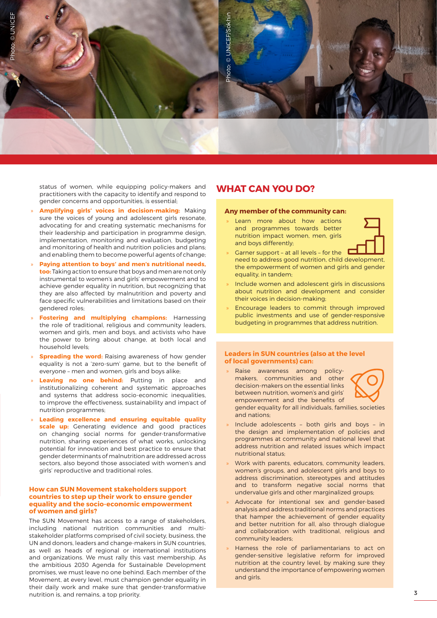

status of women, while equipping policy-makers and practitioners with the capacity to identify and respond to gender concerns and opportunities, is essential;

- » **Amplifying girls' voices in decision-making:** Making sure the voices of young and adolescent girls resonate, advocating for and creating systematic mechanisms for their leadership and participation in programme design, implementation, monitoring and evaluation, budgeting and monitoring of health and nutrition policies and plans; and enabling them to become powerful agents of change;
- » **Paying attention to boys' and men's nutritional needs, too:** Taking action to ensure that boys and men are not only instrumental to women's and girls' empowerment and to achieve gender equality in nutrition, but recognizing that they are also affected by malnutrition and poverty and face specific vulnerabilities and limitations based on their gendered roles;
- » **Fostering and multiplying champions:** Harnessing the role of traditional, religious and community leaders, women and girls, men and boys, and activists who have the power to bring about change, at both local and household levels;
- **Spreading the word:** Raising awareness of how gender equality is not a 'zero-sum' game, but to the benefit of everyone – men and women, girls and boys alike;
- **Leaving no one behind:** Putting in place and institutionalizing coherent and systematic approaches and systems that address socio-economic inequalities, to improve the effectiveness, sustainability and impact of nutrition programmes;
- » **Leading excellence and ensuring equitable quality scale up:** Generating evidence and good practices on changing social norms for gender-transformative nutrition, sharing experiences of what works, unlocking potential for innovation and best practice to ensure that gender determinants of malnutrition are addressed across sectors, also beyond those associated with women's and girls' reproductive and traditional roles.

#### **How can SUN Movement stakeholders support countries to step up their work to ensure gender equality and the socio-economic empowerment of women and girls?**

The SUN Movement has access to a range of stakeholders, including national nutrition communities and multistakeholder platforms comprised of civil society, business, the UN and donors, leaders and change-makers in SUN countries, as well as heads of regional or international institutions and organizations. We must rally this vast membership. As the ambitious 2030 Agenda for Sustainable Development promises, we must leave no one behind. Each member of the Movement, at every level, must champion gender equality in their daily work and make sure that gender-transformative nutrition is, and remains, a top priority.

### **WHAT CAN YOU DO?**

#### **Any member of the community can:**

Learn more about how actions and programmes towards better nutrition impact women, men, girls and boys differently;



- Garner support at all levels for the need to address good nutrition, child development, the empowerment of women and girls and gender equality, in tandem;
- » Include women and adolescent girls in discussions about nutrition and development and consider their voices in decision-making;
- » Encourage leaders to commit through improved public investments and use of gender-responsive budgeting in programmes that address nutrition.

#### **Leaders in SUN countries (also at the level of local governments) can:**

» Raise awareness among policymakers, communities and other decision-makers on the essential links between nutrition, women's and girls' empowerment and the benefits of gender equality for all individuals, families, societies



and nations;

- » Include adolescents both girls and boys in the design and implementation of policies and programmes at community and national level that address nutrition and related issues which impact nutritional status;
- Work with parents, educators, community leaders, women's groups, and adolescent girls and boys to address discrimination, stereotypes and attitudes and to transform negative social norms that undervalue girls and other marginalized groups;
- » Advocate for intentional sex and gender-based analysis and address traditional norms and practices that hamper the achievement of gender equality and better nutrition for all, also through dialogue and collaboration with traditional, religious and community leaders;
- Harness the role of parliamentarians to act on gender-sensitive legislative reform for improved nutrition at the country level, by making sure they understand the importance of empowering women and girls.